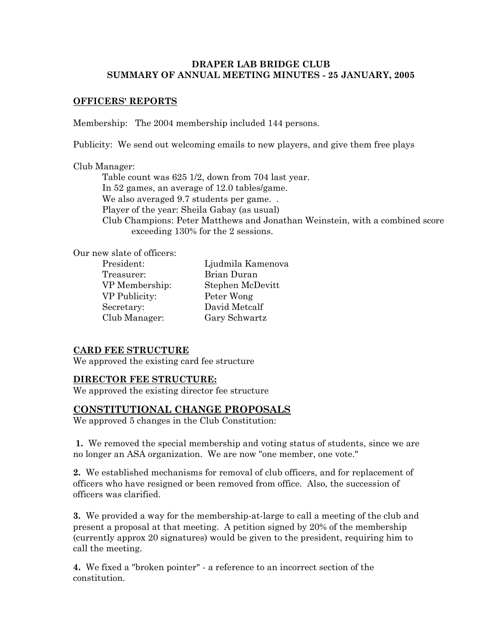#### **DRAPER LAB BRIDGE CLUB SUMMARY OF ANNUAL MEETING MINUTES - 25 JANUARY, 2005**

#### **OFFICERS' REPORTS**

Membership: The 2004 membership included 144 persons.

Publicity: We send out welcoming emails to new players, and give them free plays

#### Club Manager:

Table count was 625 1/2, down from 704 last year. In 52 games, an average of 12.0 tables/game. We also averaged 9.7 students per game... Player of the year: Sheila Gabay (as usual) Club Champions: Peter Matthews and Jonathan Weinstein, with a combined score exceeding 130% for the 2 sessions.

Our new slate of officers:

Treasurer: Brian Duran VP Publicity: Peter Wong Secretary: David Metcalf Club Manager: Gary Schwartz

President: Ljudmila Kamenova VP Membership: Stephen McDevitt

#### **CARD FEE STRUCTURE**

We approved the existing card fee structure

#### **DIRECTOR FEE STRUCTURE:**

We approved the existing director fee structure

#### **CONSTITUTIONAL CHANGE PROPOSALS**

We approved 5 changes in the Club Constitution:

**1.** We removed the special membership and voting status of students, since we are no longer an ASA organization. We are now "one member, one vote."

**2.** We established mechanisms for removal of club officers, and for replacement of officers who have resigned or been removed from office. Also, the succession of officers was clarified.

**3.** We provided a way for the membership-at-large to call a meeting of the club and present a proposal at that meeting. A petition signed by 20% of the membership (currently approx 20 signatures) would be given to the president, requiring him to call the meeting.

**4.** We fixed a "broken pointer" - a reference to an incorrect section of the constitution.